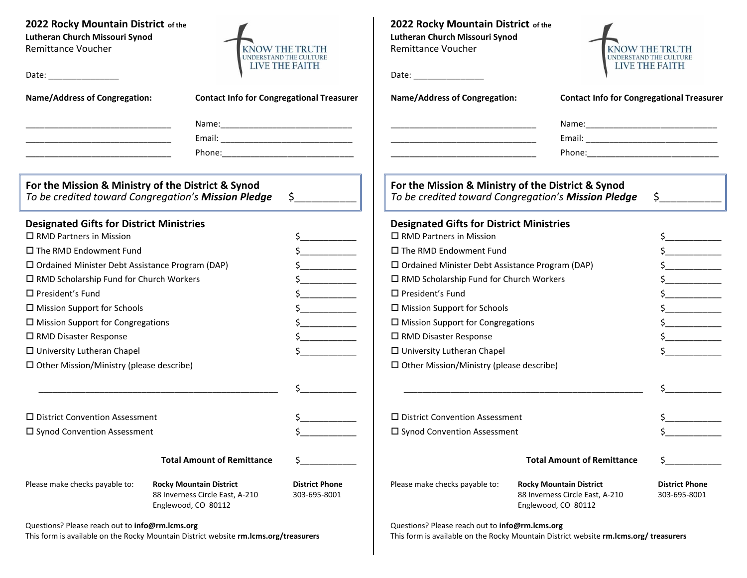# **2022 Rocky Mountain District of the Lutheran Church Missouri Synod**

Remittance Voucher

Date:  $\blacksquare$ 



\_\_\_\_\_\_\_\_\_\_\_\_\_\_\_\_\_\_\_\_\_\_\_\_\_\_\_\_\_\_\_ Phone:\_\_\_\_\_\_\_\_\_\_\_\_\_\_\_\_\_\_\_\_\_\_\_\_\_\_\_\_

**2022 Rocky Mountain District of the Lutheran Church Missouri Synod** Remittance Voucher

**KNOW THE TRUTH** UNDERSTAND THE CULTURE **LIVE THE FAITH** 

| Date: |  |  |
|-------|--|--|
|       |  |  |

**Name/Address of Congregation: Contact Info for Congregational Treasurer**

| Name:  |
|--------|
| Email: |

|          | Dhone:<br>.<br>. |
|----------|------------------|
|          |                  |
| ________ | ______________   |

**For the Mission & Ministry of the District & Synod** *To be credited toward Congregation's Mission Pledge* \$\_\_\_\_\_\_\_\_\_\_\_

#### **Designated Gifts for District Ministries**

| $\Box$ RMD Partners in Mission                         | Ś.                                                                                       |                                       |
|--------------------------------------------------------|------------------------------------------------------------------------------------------|---------------------------------------|
| $\square$ The RMD Endowment Fund                       |                                                                                          | Ś.                                    |
| $\Box$ Ordained Minister Debt Assistance Program (DAP) |                                                                                          | \$.                                   |
| $\Box$ RMD Scholarship Fund for Church Workers         |                                                                                          | Ś.                                    |
| $\Box$ President's Fund                                |                                                                                          | \$                                    |
| $\square$ Mission Support for Schools                  | \$                                                                                       |                                       |
| $\Box$ Mission Support for Congregations               | Ś.                                                                                       |                                       |
| □ RMD Disaster Response                                |                                                                                          |                                       |
| $\Box$ University Lutheran Chapel                      |                                                                                          |                                       |
| $\Box$ Other Mission/Ministry (please describe)        |                                                                                          |                                       |
|                                                        |                                                                                          | Ś                                     |
| $\Box$ District Convention Assessment                  |                                                                                          |                                       |
| $\square$ Synod Convention Assessment                  |                                                                                          |                                       |
|                                                        | <b>Total Amount of Remittance</b>                                                        |                                       |
| Please make checks payable to:                         | <b>Rocky Mountain District</b><br>88 Inverness Circle East, A-210<br>Englewood, CO 80112 | <b>District Phone</b><br>303-695-8001 |

**For the Mission & Ministry of the District & Synod** *To be credited toward Congregation's Mission Pledge* \$\_\_\_\_\_\_\_\_\_\_\_

### **Designated Gifts for District Ministries**

| $\Box$ RMD Partners in Mission                         | \$                                                                                                                                                                                                                                                                                                                                                                                                                                                                                                                                                     |                                       |
|--------------------------------------------------------|--------------------------------------------------------------------------------------------------------------------------------------------------------------------------------------------------------------------------------------------------------------------------------------------------------------------------------------------------------------------------------------------------------------------------------------------------------------------------------------------------------------------------------------------------------|---------------------------------------|
| □ The RMD Endowment Fund                               | $\frac{1}{2}$                                                                                                                                                                                                                                                                                                                                                                                                                                                                                                                                          |                                       |
| $\Box$ Ordained Minister Debt Assistance Program (DAP) | $\frac{1}{2}$                                                                                                                                                                                                                                                                                                                                                                                                                                                                                                                                          |                                       |
| $\Box$ RMD Scholarship Fund for Church Workers         | $\frac{1}{2}$                                                                                                                                                                                                                                                                                                                                                                                                                                                                                                                                          |                                       |
| $\Box$ President's Fund                                |                                                                                                                                                                                                                                                                                                                                                                                                                                                                                                                                                        | $\frac{1}{2}$                         |
| $\Box$ Mission Support for Schools                     | $\begin{array}{c} \n \xi \quad \text{and} \quad \text{and} \quad \text{and} \quad \text{and} \quad \text{and} \quad \text{and} \quad \text{and} \quad \text{and} \quad \text{and} \quad \text{and} \quad \text{and} \quad \text{and} \quad \text{and} \quad \text{and} \quad \text{and} \quad \text{and} \quad \text{and} \quad \text{and} \quad \text{and} \quad \text{and} \quad \text{and} \quad \text{and} \quad \text{and} \quad \text{and} \quad \text{and} \quad \text{and} \quad \text{and} \quad \text{and} \quad \text{and} \quad \text{and$ |                                       |
| $\Box$ Mission Support for Congregations               |                                                                                                                                                                                                                                                                                                                                                                                                                                                                                                                                                        | $\frac{1}{2}$                         |
| □ RMD Disaster Response                                |                                                                                                                                                                                                                                                                                                                                                                                                                                                                                                                                                        | $\frac{1}{2}$                         |
| $\Box$ University Lutheran Chapel                      |                                                                                                                                                                                                                                                                                                                                                                                                                                                                                                                                                        |                                       |
| $\Box$ Other Mission/Ministry (please describe)        |                                                                                                                                                                                                                                                                                                                                                                                                                                                                                                                                                        |                                       |
|                                                        |                                                                                                                                                                                                                                                                                                                                                                                                                                                                                                                                                        |                                       |
|                                                        |                                                                                                                                                                                                                                                                                                                                                                                                                                                                                                                                                        |                                       |
| $\Box$ District Convention Assessment                  |                                                                                                                                                                                                                                                                                                                                                                                                                                                                                                                                                        |                                       |
| $\Box$ Synod Convention Assessment                     |                                                                                                                                                                                                                                                                                                                                                                                                                                                                                                                                                        |                                       |
|                                                        |                                                                                                                                                                                                                                                                                                                                                                                                                                                                                                                                                        |                                       |
|                                                        | <b>Total Amount of Remittance</b>                                                                                                                                                                                                                                                                                                                                                                                                                                                                                                                      |                                       |
| Please make checks payable to:                         | <b>Rocky Mountain District</b><br>88 Inverness Circle East, A-210                                                                                                                                                                                                                                                                                                                                                                                                                                                                                      | <b>District Phone</b><br>303-695-8001 |

**Name/Address of Congregation: Contact Info for Congregational Treasurer**

\_\_\_\_\_\_\_\_\_\_\_\_\_\_\_\_\_\_\_\_\_\_\_\_\_\_\_\_\_\_\_ Name:\_\_\_\_\_\_\_\_\_\_\_\_\_\_\_\_\_\_\_\_\_\_\_\_\_\_\_\_ \_\_\_\_\_\_\_\_\_\_\_\_\_\_\_\_\_\_\_\_\_\_\_\_\_\_\_\_\_\_\_ Email: \_\_\_\_\_\_\_\_\_\_\_\_\_\_\_\_\_\_\_\_\_\_\_\_\_\_\_\_

Questions? Please reach out to **info@rm.lcms.org**

This form is available on the Rocky Mountain District website **rm.lcms.org/treasurers**

Englewood, CO 80112

Questions? Please reach out to **info@rm.lcms.org**

This form is available on the Rocky Mountain District website **rm.lcms.org/ treasurers**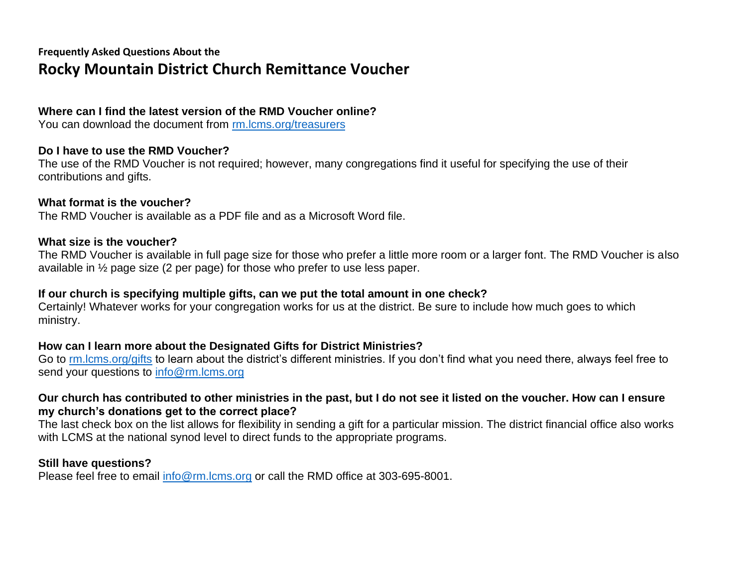# **Frequently Asked Questions About the Rocky Mountain District Church Remittance Voucher**

# **Where can I find the latest version of the RMD Voucher online?**

You can download the document from [rm.lcms.org/treasurers](https://rmdlcms-my.sharepoint.com/personal/marla_gregory_rmdlcms_onmicrosoft_com/Documents/ACCOUNTING/Remittance%20Voucher%20Forms/Church%20Remittance%20Vouchers/rm.lcms.org/treasurers)

# **Do I have to use the RMD Voucher?**

The use of the RMD Voucher is not required; however, many congregations find it useful for specifying the use of their contributions and gifts.

# **What format is the voucher?**

The RMD Voucher is available as a PDF file and as a Microsoft Word file.

# **What size is the voucher?**

The RMD Voucher is available in full page size for those who prefer a little more room or a larger font. The RMD Voucher is also available in ½ page size (2 per page) for those who prefer to use less paper.

# **If our church is specifying multiple gifts, can we put the total amount in one check?**

Certainly! Whatever works for your congregation works for us at the district. Be sure to include how much goes to which ministry.

# **How can I learn more about the Designated Gifts for District Ministries?**

Go to [rm.lcms.org/gifts](https://rmdlcms-my.sharepoint.com/personal/marla_gregory_rmdlcms_onmicrosoft_com/Documents/ACCOUNTING/Remittance%20Voucher%20Forms/Church%20Remittance%20Vouchers/rm.lcms.org/gifts) to learn about the district's different ministries. If you don't find what you need there, always feel free to send your questions to [info@rm.lcms.org](mailto:info@rm.lcms.org?subject=Question%20About%20Designated%20Gifts)

# **Our church has contributed to other ministries in the past, but I do not see it listed on the voucher. How can I ensure my church's donations get to the correct place?**

The last check box on the list allows for flexibility in sending a gift for a particular mission. The district financial office also works with LCMS at the national synod level to direct funds to the appropriate programs.

# **Still have questions?**

Please feel free to email [info@rm.lcms.org](mailto:info@rm.lcms.org?subject=Question%20About%20RMD%20Voucher) or call the RMD office at 303-695-8001.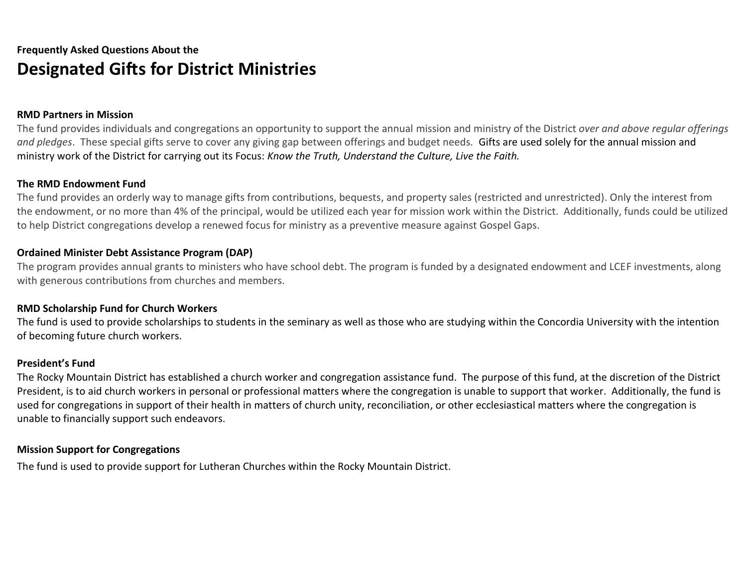# **Frequently Asked Questions About the Designated Gifts for District Ministries**

## **RMD Partners in Mission**

The fund provides individuals and congregations an opportunity to support the annual mission and ministry of the District *over and above regular offerings and pledges*. These special gifts serve to cover any giving gap between offerings and budget needs. Gifts are used solely for the annual mission and ministry work of the District for carrying out its Focus: *Know the Truth, Understand the Culture, Live the Faith.*

## **The RMD Endowment Fund**

The fund provides an orderly way to manage gifts from contributions, bequests, and property sales (restricted and unrestricted). Only the interest from the endowment, or no more than 4% of the principal, would be utilized each year for mission work within the District. Additionally, funds could be utilized to help District congregations develop a renewed focus for ministry as a preventive measure against Gospel Gaps.

## **Ordained Minister Debt Assistance Program (DAP)**

The program provides annual grants to ministers who have school debt. The program is funded by a designated endowment and LCEF investments, along with generous contributions from churches and members.

## **RMD Scholarship Fund for Church Workers**

The fund is used to provide scholarships to students in the seminary as well as those who are studying within the Concordia University with the intention of becoming future church workers.

## **President's Fund**

The Rocky Mountain District has established a church worker and congregation assistance fund. The purpose of this fund, at the discretion of the District President, is to aid church workers in personal or professional matters where the congregation is unable to support that worker. Additionally, the fund is used for congregations in support of their health in matters of church unity, reconciliation, or other ecclesiastical matters where the congregation is unable to financially support such endeavors.

## **Mission Support for Congregations**

The fund is used to provide support for Lutheran Churches within the Rocky Mountain District.